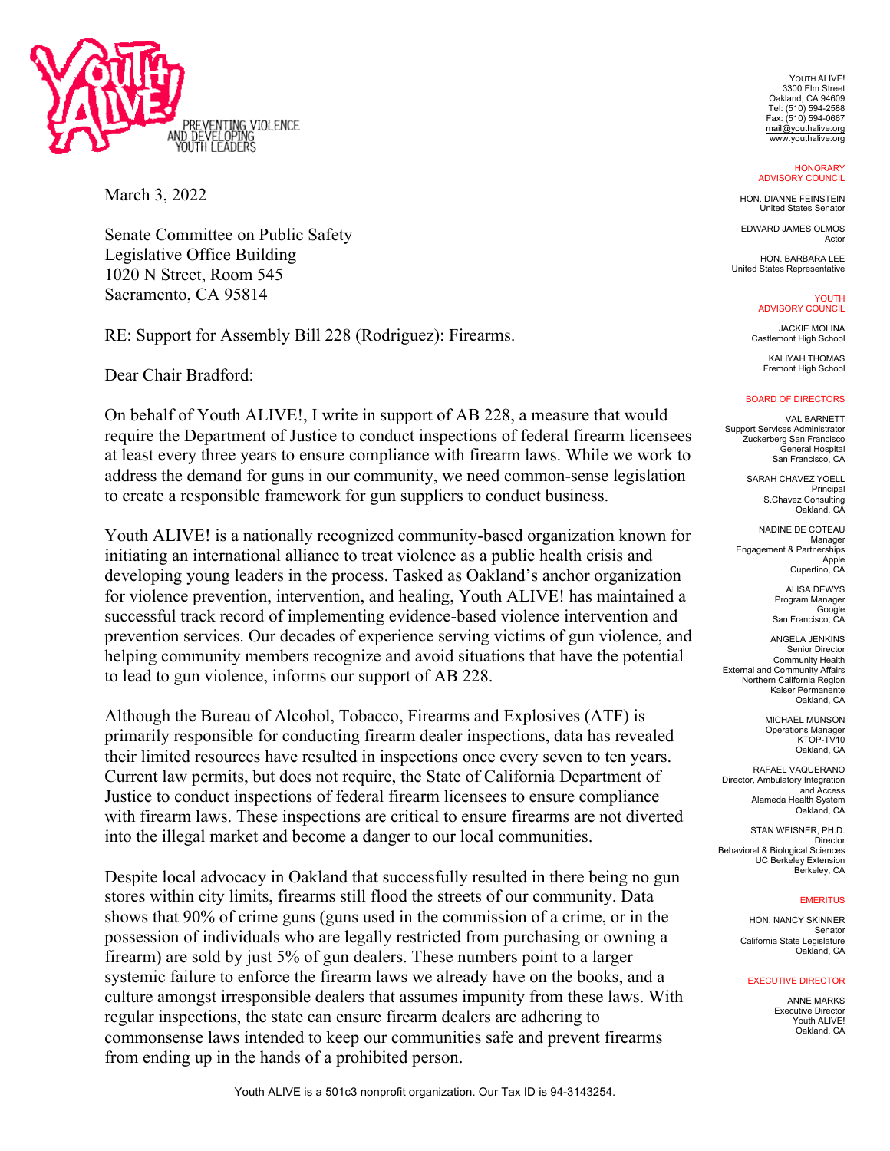

March 3, 2022

Senate Committee on Public Safety Legislative Office Building 1020 N Street, Room 545 Sacramento, CA 95814

RE: Support for Assembly Bill 228 (Rodriguez): Firearms.

Dear Chair Bradford:

On behalf of Youth ALIVE!, I write in support of AB 228, a measure that would require the Department of Justice to conduct inspections of federal firearm licensees at least every three years to ensure compliance with firearm laws. While we work to address the demand for guns in our community, we need common-sense legislation to create a responsible framework for gun suppliers to conduct business.

Youth ALIVE! is a nationally recognized community-based organization known for initiating an international alliance to treat violence as a public health crisis and developing young leaders in the process. Tasked as Oakland's anchor organization for violence prevention, intervention, and healing, Youth ALIVE! has maintained a successful track record of implementing evidence-based violence intervention and prevention services. Our decades of experience serving victims of gun violence, and helping community members recognize and avoid situations that have the potential to lead to gun violence, informs our support of AB 228.

Although the Bureau of Alcohol, Tobacco, Firearms and Explosives (ATF) is primarily responsible for conducting firearm dealer inspections, data has revealed their limited resources have resulted in inspections once every seven to ten years. Current law permits, but does not require, the State of California Department of Justice to conduct inspections of federal firearm licensees to ensure compliance with firearm laws. These inspections are critical to ensure firearms are not diverted into the illegal market and become a danger to our local communities.

Despite local advocacy in Oakland that successfully resulted in there being no gun stores within city limits, firearms still flood the streets of our community. Data shows that 90% of crime guns (guns used in the commission of a crime, or in the possession of individuals who are legally restricted from purchasing or owning a firearm) are sold by just 5% of gun dealers. These numbers point to a larger systemic failure to enforce the firearm laws we already have on the books, and a culture amongst irresponsible dealers that assumes impunity from these laws. With regular inspections, the state can ensure firearm dealers are adhering to commonsense laws intended to keep our communities safe and prevent firearms from ending up in the hands of a prohibited person.

YOUTH ALIVE! 3300 Elm Street Oakland, CA 94609 Tel: (510) 594-2588 Fax: (510) 594-0667 mail@youthalive.org www.youthalive.org

**HONORARY** ADVISORY COUNCIL

HON. DIANNE FEINSTEIN United States Senator

EDWARD JAMES OLMOS Actor

HON. BARBARA LEE United States Representative

> YOUTH ADVISORY COUNCIL

JACKIE MOLINA Castlemont High School

KALIYAH THOMAS Fremont High School

## BOARD OF DIRECTORS

VAL BARNETT Support Services Administrator Zuckerberg San Francisco General Hospital San Francisco, CA

> SARAH CHAVEZ YOELL Principal S.Chavez Consulting Oakland, CA

NADINE DE COTEAU Manager Engagement & Partnerships Apple Cupertino, CA

> ALISA DEWYS Program Manager Google San Francisco, CA

ANGELA JENKINS Senior Director Community Health External and Community Affairs Northern California Region Kaiser Permanente Oakland, CA

> MICHAEL MUNSON Operations Manager KTOP-TV10 Oakland, CA

RAFAEL VAQUERANO Director, Ambulatory Integration and Access Alameda Health System Oakland, CA

STAN WEISNER, PH.D. Director Behavioral & Biological Sciences UC Berkeley Extension Berkeley, CA

## **EMERITUS**

HON. NANCY SKINNER Senator California State Legislature Oakland, CA

## EXECUTIVE DIRECTOR

ANNE MARKS Executive Director Youth ALIVE! Oakland, CA